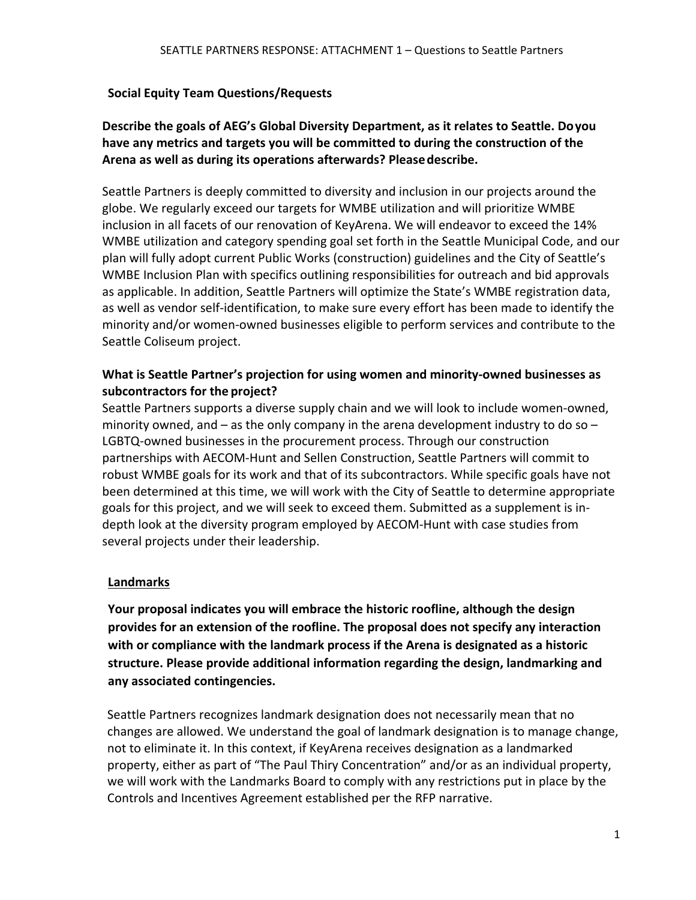#### **Social Equity Team Questions/Requests**

## **Describe the goals of AEG's Global Diversity Department, as it relates to Seattle. Doyou have any metrics and targets you will be committed to during the construction of the Arena as well as during its operations afterwards? Pleasedescribe.**

Seattle Partners is deeply committed to diversity and inclusion in our projects around the globe. We regularly exceed our targets for WMBE utilization and will prioritize WMBE inclusion in all facets of our renovation of KeyArena. We will endeavor to exceed the 14% WMBE utilization and category spending goal set forth in the Seattle Municipal Code, and our plan will fully adopt current Public Works (construction) guidelines and the City of Seattle's WMBE Inclusion Plan with specifics outlining responsibilities for outreach and bid approvals as applicable. In addition, Seattle Partners will optimize the State's WMBE registration data, as well as vendor self-identification, to make sure every effort has been made to identify the minority and/or women-owned businesses eligible to perform services and contribute to the Seattle Coliseum project.

#### **What is Seattle Partner's projection for using women and minority-owned businesses as subcontractors for the project?**

Seattle Partners supports a diverse supply chain and we will look to include women-owned, minority owned, and  $-$  as the only company in the arena development industry to do so  $-$ LGBTQ-owned businesses in the procurement process. Through our construction partnerships with AECOM-Hunt and Sellen Construction, Seattle Partners will commit to robust WMBE goals for its work and that of its subcontractors. While specific goals have not been determined at this time, we will work with the City of Seattle to determine appropriate goals for this project, and we will seek to exceed them. Submitted as a supplement is indepth look at the diversity program employed by AECOM-Hunt with case studies from several projects under their leadership.

### **Landmarks**

**Your proposal indicates you will embrace the historic roofline, although the design provides for an extension of the roofline. The proposal does not specify any interaction with or compliance with the landmark process if the Arena is designated as a historic structure. Please provide additional information regarding the design, landmarking and any associated contingencies.**

Seattle Partners recognizes landmark designation does not necessarily mean that no changes are allowed. We understand the goal of landmark designation is to manage change, not to eliminate it. In this context, if KeyArena receives designation as a landmarked property, either as part of "The Paul Thiry Concentration" and/or as an individual property, we will work with the Landmarks Board to comply with any restrictions put in place by the Controls and Incentives Agreement established per the RFP narrative.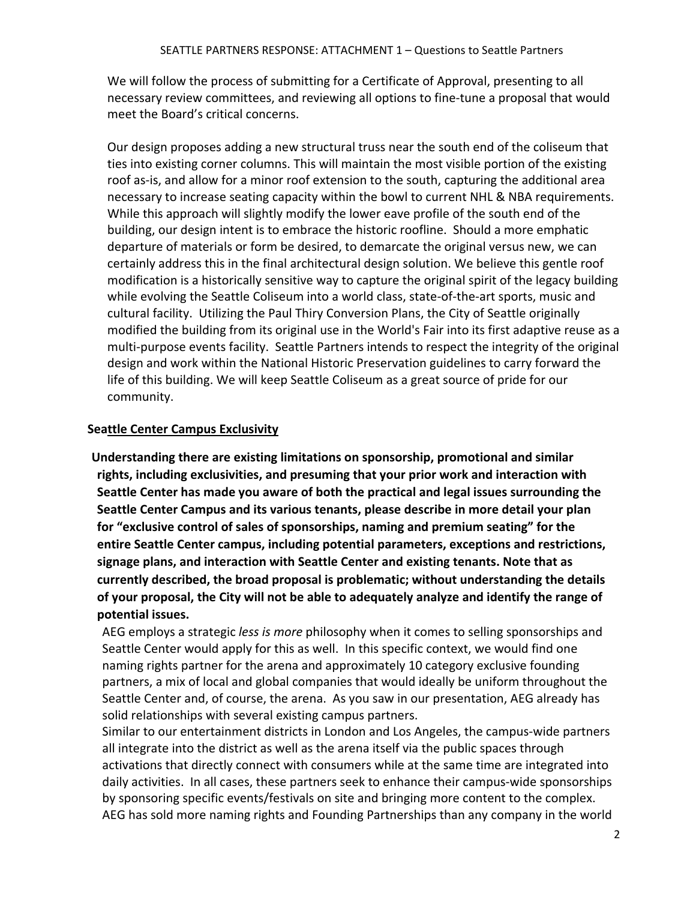We will follow the process of submitting for a Certificate of Approval, presenting to all necessary review committees, and reviewing all options to fine-tune a proposal that would meet the Board's critical concerns.

Our design proposes adding a new structural truss near the south end of the coliseum that ties into existing corner columns. This will maintain the most visible portion of the existing roof as-is, and allow for a minor roof extension to the south, capturing the additional area necessary to increase seating capacity within the bowl to current NHL & NBA requirements. While this approach will slightly modify the lower eave profile of the south end of the building, our design intent is to embrace the historic roofline. Should a more emphatic departure of materials or form be desired, to demarcate the original versus new, we can certainly address this in the final architectural design solution. We believe this gentle roof modification is a historically sensitive way to capture the original spirit of the legacy building while evolving the Seattle Coliseum into a world class, state-of-the-art sports, music and cultural facility. Utilizing the Paul Thiry Conversion Plans, the City of Seattle originally modified the building from its original use in the World's Fair into its first adaptive reuse as a multi-purpose events facility. Seattle Partners intends to respect the integrity of the original design and work within the National Historic Preservation guidelines to carry forward the life of this building. We will keep Seattle Coliseum as a great source of pride for our community.

#### **Seattle Center Campus Exclusivity**

**Understanding there are existing limitations on sponsorship, promotional and similar rights, including exclusivities, and presuming that your prior work and interaction with Seattle Center has made you aware of both the practical and legal issues surrounding the Seattle Center Campus and its various tenants, please describe in more detail your plan for "exclusive control of sales of sponsorships, naming and premium seating" for the entire Seattle Center campus, including potential parameters, exceptions and restrictions, signage plans, and interaction with Seattle Center and existing tenants. Note that as currently described, the broad proposal is problematic; without understanding the details of your proposal, the City will not be able to adequately analyze and identify the range of potential issues.**

AEG employs a strategic *less is more* philosophy when it comes to selling sponsorships and Seattle Center would apply for this as well. In this specific context, we would find one naming rights partner for the arena and approximately 10 category exclusive founding partners, a mix of local and global companies that would ideally be uniform throughout the Seattle Center and, of course, the arena. As you saw in our presentation, AEG already has solid relationships with several existing campus partners.

Similar to our entertainment districts in London and Los Angeles, the campus-wide partners all integrate into the district as well as the arena itself via the public spaces through activations that directly connect with consumers while at the same time are integrated into daily activities. In all cases, these partners seek to enhance their campus-wide sponsorships by sponsoring specific events/festivals on site and bringing more content to the complex. AEG has sold more naming rights and Founding Partnerships than any company in the world